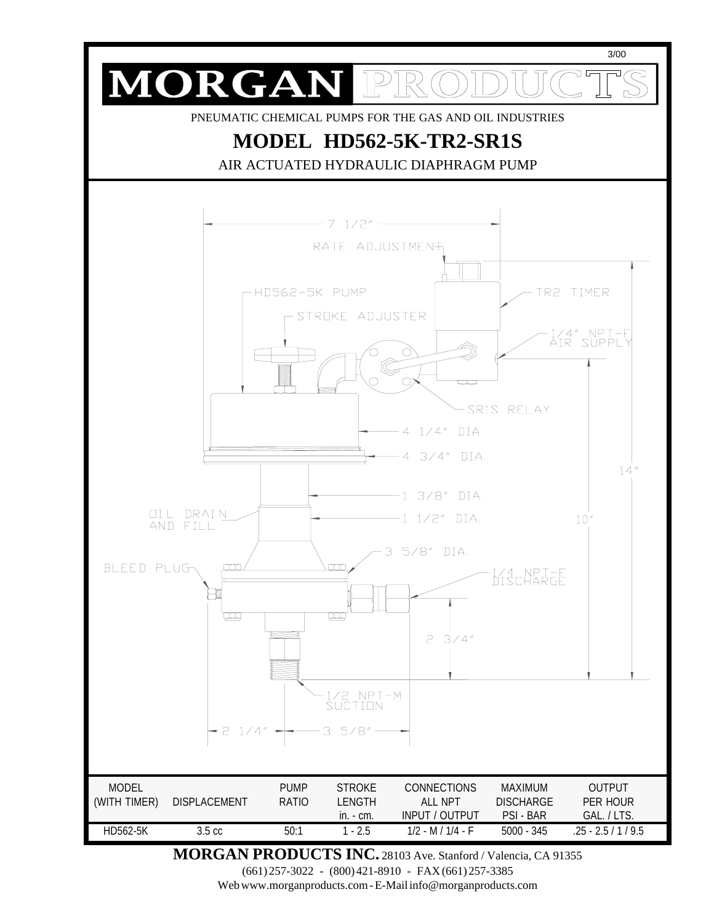

**MORGAN PRODUCTS INC.** 28103 Ave. Stanford / Valencia, CA 91355

(661) 257-3022 - (800) 421-8910 - FAX (661) 257-3385

Web www.morganproducts.com - E-Mail info@morganproducts.com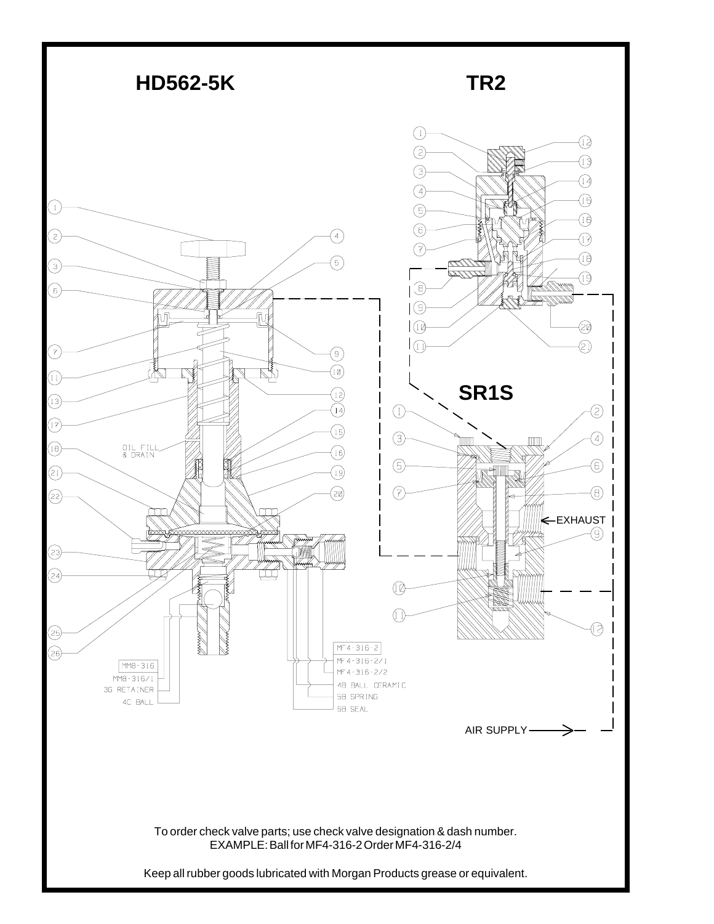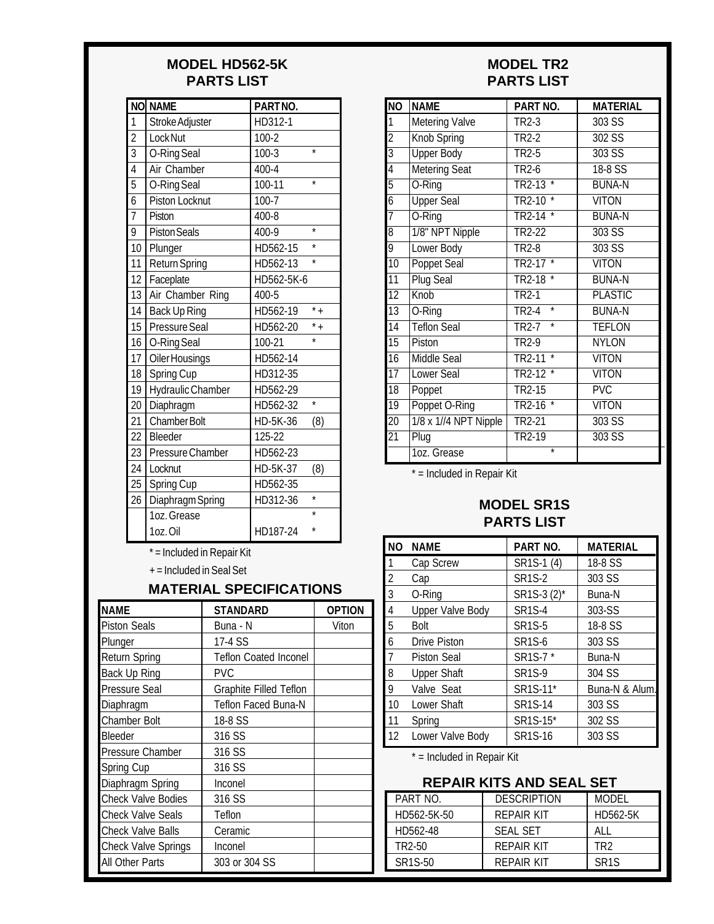#### **MODEL HD562-5K PARTS LIST**

|                | <b>NO NAME</b>        | PARTNO.    |                    |
|----------------|-----------------------|------------|--------------------|
| $\mathbf{1}$   | Stroke Adjuster       | HD312-1    |                    |
|                | Lock Nut              | $100 - 2$  |                    |
| $\frac{2}{3}$  | O-Ring Seal           | $100 - 3$  | $\star$            |
|                | Air Chamber           | 400-4      |                    |
| $\overline{5}$ | O-Ring Seal           | 100-11     | $\star$            |
| $\overline{6}$ | <b>Piston Locknut</b> | $100 - 7$  |                    |
| $\overline{7}$ | Piston                | 400-8      |                    |
| 9              | <b>Piston Seals</b>   | 400-9      | $\star$            |
| 10             | Plunger               | HD562-15   | $\star$            |
| 11             | <b>Return Spring</b>  | HD562-13   | $\star$            |
| 12             | Faceplate             | HD562-5K-6 |                    |
| 13             | Air Chamber Ring      | 400-5      |                    |
| 14             | Back Up Ring          | HD562-19   | $*$ +              |
| 15             | Pressure Seal         | HD562-20   | $\overline{\cdot}$ |
| 16             | O-Ring Seal           | 100-21     | ×                  |
| 17             | Oiler Housings        | HD562-14   |                    |
| 18             | Spring Cup            | HD312-35   |                    |
| 19             | Hydraulic Chamber     | HD562-29   |                    |
| 20             | Diaphragm             | HD562-32   | $\star$            |
| 21             | <b>Chamber Bolt</b>   | HD-5K-36   | (8)                |
|                | 22   Bleeder          | 125-22     |                    |
| 23             | Pressure Chamber      | HD562-23   |                    |
| 24             | Locknut               | HD-5K-37   | (8)                |
| 25             | Spring Cup            | HD562-35   |                    |
| 26             | Diaphragm Spring      | HD312-36   | $\overline{\ast}$  |
|                | 1oz. Grease           |            |                    |
|                | 1oz.Oil               | HD187-24   |                    |

\* = Included in Repair Kit

+ = Included in Seal Set

#### **MATERIAL SPECIFICATIONS**

| NAME                       | <b>STANDARD</b>              | <b>OPTION</b> |
|----------------------------|------------------------------|---------------|
| <b>Piston Seals</b>        | Buna - N                     | Viton         |
| Plunger                    | 17-4 SS                      |               |
| <b>Return Spring</b>       | <b>Teflon Coated Inconel</b> |               |
| Back Up Ring               | <b>PVC</b>                   |               |
| Pressure Seal              | Graphite Filled Teflon       |               |
| Diaphragm                  | Teflon Faced Buna-N          |               |
| <b>Chamber Bolt</b>        | 18-8 SS                      |               |
| Bleeder                    | 316 SS                       |               |
| Pressure Chamber           | 316 SS                       |               |
| Spring Cup                 | 316 SS                       |               |
| Diaphragm Spring           | Inconel                      |               |
| <b>Check Valve Bodies</b>  | 316 SS                       |               |
| <b>Check Valve Seals</b>   | Teflon                       |               |
| Check Valve Balls          | Ceramic                      |               |
| <b>Check Valve Springs</b> | Inconel                      |               |
| All Other Parts            | 303 or 304 SS                |               |

#### **MODEL TR2 PARTS LIST**

| $\overline{NO}$ | <b>NAME</b>           | PART NO.                                 | <b>MATERIAL</b> |
|-----------------|-----------------------|------------------------------------------|-----------------|
| 1               | <b>Metering Valve</b> | TR2-3                                    | 303 SS          |
| $\overline{2}$  | <b>Knob Spring</b>    | TR <sub>2</sub> -2                       | $302$ SS        |
| $\overline{3}$  | <b>Upper Body</b>     | $TR2-5$                                  | $303$ SS        |
| $\overline{4}$  | <b>Metering Seat</b>  | <b>TR2-6</b>                             | $18-8$ SS       |
| $\overline{5}$  | O-Ring                | $\overline{\ast}$<br>$TR2-13$            | <b>BUNA-N</b>   |
| $\overline{6}$  | <b>Upper Seal</b>     | <b>TR2-10</b>                            | <b>VITON</b>    |
| $\overline{7}$  | O-Ring                | TR2-14<br>*                              | <b>BUNA-N</b>   |
| $\overline{8}$  | 1/8" NPT Nipple       | TR2-22                                   | 303S            |
| 9               | Lower Body            | <b>TR2-8</b>                             | $303$ SS        |
| $\overline{10}$ | Poppet Seal           | $\overline{\ast}$<br>TR <sub>2</sub> -17 | <b>VITON</b>    |
| 11              | <b>Plug Seal</b>      | <b>TR2-18</b>                            | <b>BUNA-N</b>   |
| $\overline{12}$ | Knob                  | TR <sub>2-1</sub>                        | <b>PLASTIC</b>  |
| $\overline{13}$ | O-Ring                | $\overline{\ast}$<br><b>TR2-4</b>        | <b>BUNA-N</b>   |
| $\overline{14}$ | <b>Teflon Seal</b>    | $\overline{\ast}$<br>TR2-7               | <b>TEFLON</b>   |
| $\overline{15}$ | Piston                | <b>TR2-9</b>                             | <b>NYLON</b>    |
| $\overline{16}$ | <b>Middle Seal</b>    | $\star$<br><b>TR2-11</b>                 | <b>VITON</b>    |
| $\overline{17}$ | Lower Seal            | TR2-12                                   | <b>VITON</b>    |
| $\overline{18}$ | Poppet                | <b>TR2-15</b>                            | <b>PVC</b>      |
| 19              | Poppet O-Ring         | <b>TR2-16</b><br>$\star$                 | <b>VITON</b>    |
| $\overline{20}$ | 1/8 x 1//4 NPT Nipple | <b>TR2-21</b>                            | 303S            |
| $\overline{2}1$ | Plug                  | TR2-19                                   | $303$ SS        |
|                 | 1oz. Grease           | $\overline{\ast}$                        |                 |

 $*$  = Included in Repair Kit

#### **MODEL SR1S PARTS LIST**

| <b>NO</b>      | <b>NAME</b>             | PART NO.      | <b>MATERIAL</b> |
|----------------|-------------------------|---------------|-----------------|
|                | Cap Screw               | SR1S-1 (4)    | 18-8 SS         |
| $\overline{2}$ | Cap                     | <b>SR1S-2</b> | 303 SS          |
| 3              | O-Ring                  | SR1S-3 (2)*   | Buna-N          |
| 4              | <b>Upper Valve Body</b> | <b>SR1S-4</b> | 303-SS          |
| 5              | <b>Bolt</b>             | <b>SR1S-5</b> | 18-8 SS         |
| 6              | Drive Piston            | <b>SR1S-6</b> | 303 SS          |
| 7              | <b>Piston Seal</b>      | SR1S-7*       | Buna-N          |
| 8              | <b>Upper Shaft</b>      | <b>SR1S-9</b> | 304 SS          |
| 9              | Valve Seat              | SR1S-11*      | Buna-N & Alum.  |
| 10             | Lower Shaft             | SR1S-14       | 303 SS          |
| 11             | Spring                  | SR1S-15*      | 302 SS          |
| 12             | Lower Valve Body        | SR1S-16       | 303 SS          |

\* = Included in Repair Kit

## **REPAIR KITS AND SEAL SET**

| PART NO.             | <b>DESCRIPTION</b> | <b>MODEL</b>      |
|----------------------|--------------------|-------------------|
| HD562-5K-50          | REPAIR KIT         | HD562-5K          |
| HD562-48             | <b>SFAL SFT</b>    | AI I              |
| TR2-50               | REPAIR KIT         | TR2               |
| SR <sub>1</sub> S-50 | REPAIR KIT         | SR <sub>1</sub> S |